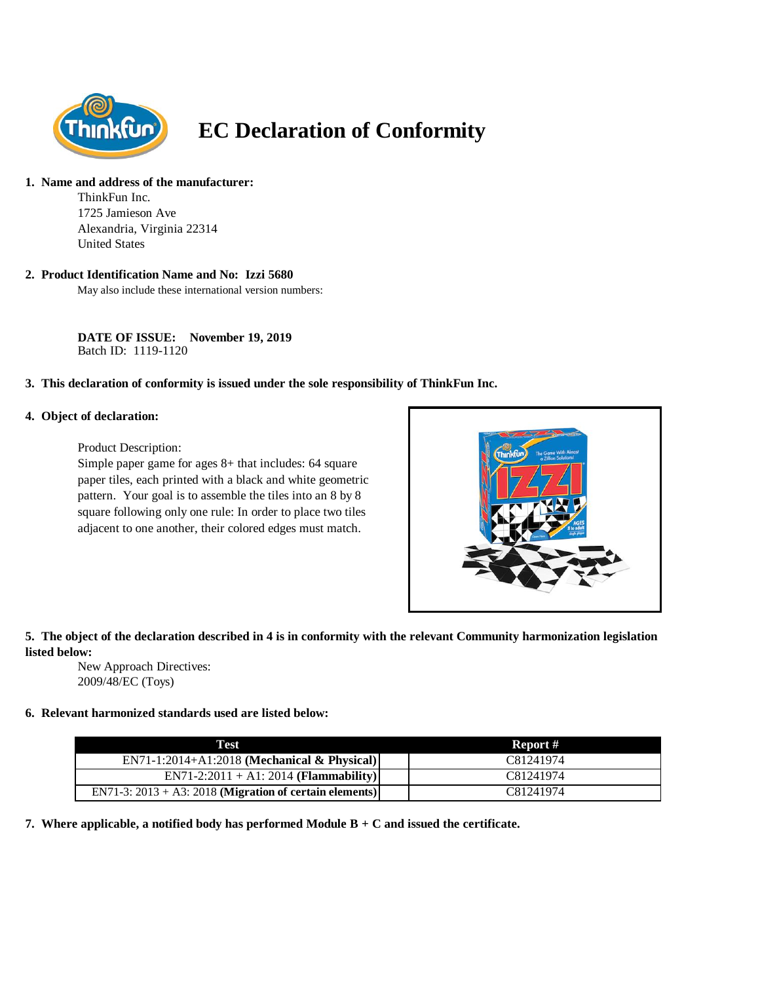

# **EC Declaration of Conformity**

## **1. Name and address of the manufacturer:**

ThinkFun Inc. 1725 Jamieson Ave Alexandria, Virginia 22314 United States

#### **2. Product Identification Name and No: Izzi 5680**

May also include these international version numbers:

**DATE OF ISSUE: November 19, 2019** Batch ID: 1119-1120

#### **3. This declaration of conformity is issued under the sole responsibility of ThinkFun Inc.**

#### **4. Object of declaration:**

Product Description:

Simple paper game for ages 8+ that includes: 64 square paper tiles, each printed with a black and white geometric pattern. Your goal is to assemble the tiles into an 8 by 8 square following only one rule: In order to place two tiles adjacent to one another, their colored edges must match.



## **5. The object of the declaration described in 4 is in conformity with the relevant Community harmonization legislation listed below:**

New Approach Directives: 2009/48/EC (Toys)

## **6. Relevant harmonized standards used are listed below:**

| Test                                                       | Report #  |
|------------------------------------------------------------|-----------|
| EN71-1:2014+A1:2018 (Mechanical & Physical)                | C81241974 |
| $EN71-2:2011 + A1:2014 (Flammablity)$                      | C81241974 |
| EN71-3: $2013 + A3$ : 2018 (Migration of certain elements) | C81241974 |

**7. Where applicable, a notified body has performed Module B + C and issued the certificate.**